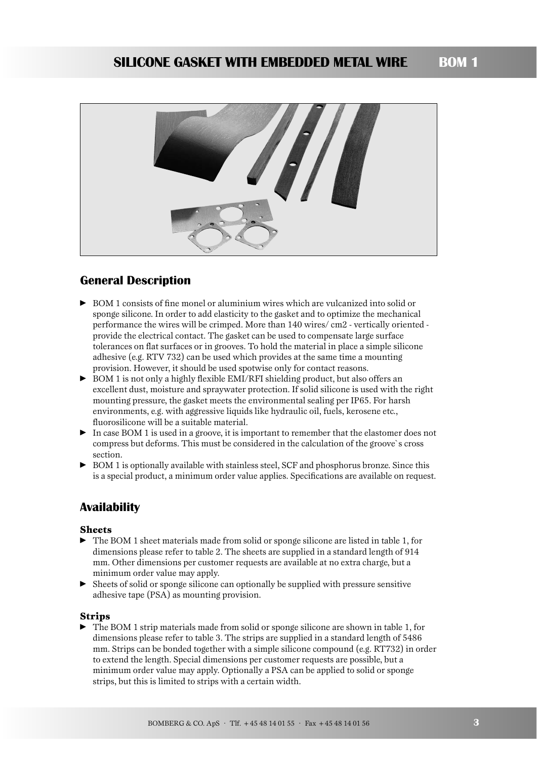

# **General Description**

- BOM 1 consists of fine monel or aluminium wires which are vulcanized into solid or sponge silicone. In order to add elasticity to the gasket and to optimize the mechanical performance the wires will be crimped. More than 140 wires/ cm2 - vertically oriented provide the electrical contact. The gasket can be used to compensate large surface tolerances on flat surfaces or in grooves. To hold the material in place a simple silicone adhesive (e.g. RTV 732) can be used which provides at the same time a mounting provision. However, it should be used spotwise only for contact reasons.
- BOM 1 is not only a highly flexible EMI/RFI shielding product, but also offers an excellent dust, moisture and spraywater protection. If solid silicone is used with the right mounting pressure, the gasket meets the environmental sealing per IP65. For harsh environments, e.g. with aggressive liquids like hydraulic oil, fuels, kerosene etc., fluorosilicone will be a suitable material.
- In case BOM 1 is used in a groove, it is important to remember that the elastomer does not compress but deforms. This must be considered in the calculation of the groove`s cross section.
- BOM 1 is optionally available with stainless steel, SCF and phosphorus bronze. Since this is a special product, a minimum order value applies. Specifications are available on request.

# **Availability**

### **Sheets**

- The BOM 1 sheet materials made from solid or sponge silicone are listed in table 1, for dimensions please refer to table 2. The sheets are supplied in a standard length of 914 mm. Other dimensions per customer requests are available at no extra charge, but a minimum order value may apply.
- Sheets of solid or sponge silicone can optionally be supplied with pressure sensitive adhesive tape (PSA) as mounting provision.

### **Strips**

► The BOM 1 strip materials made from solid or sponge silicone are shown in table 1, for dimensions please refer to table 3. The strips are supplied in a standard length of 5486 mm. Strips can be bonded together with a simple silicone compound (e.g. RT732) in order to extend the length. Special dimensions per customer requests are possible, but a minimum order value may apply. Optionally a PSA can be applied to solid or sponge strips, but this is limited to strips with a certain width.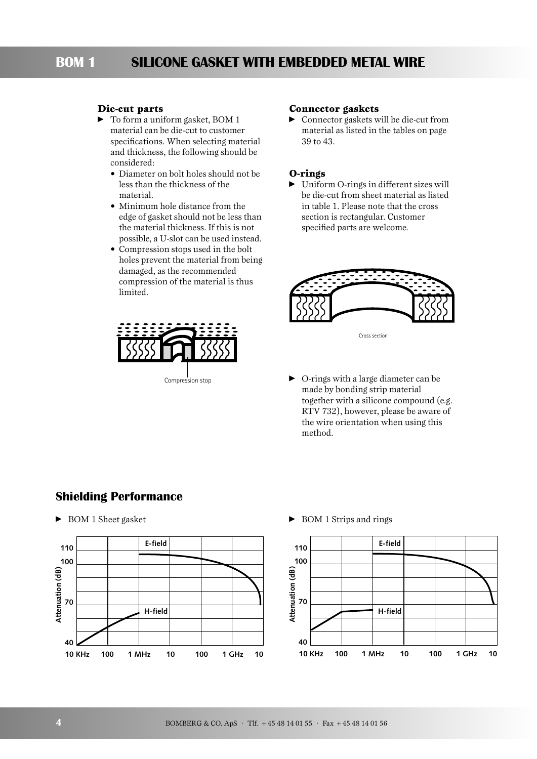### **Die-cut parts**

- $\blacktriangleright$  To form a uniform gasket, BOM 1 material can be die-cut to customer specifications. When selecting material and thickness, the following should be considered:
	- Diameter on bolt holes should not be less than the thickness of the material.
	- Minimum hole distance from the edge of gasket should not be less than the material thickness. If this is not possible, a U-slot can be used instead.
	- Compression stops used in the bolt holes prevent the material from being damaged, as the recommended compression of the material is thus limited.



#### **Connector gaskets**

- Connector gaskets will be die-cut from material as listed in the tables on page 39 to 43.

### **O-rings**

- Uniform O-rings in different sizes will be die-cut from sheet material as listed in table 1. Please note that the cross section is rectangular. Customer specified parts are welcome.



Cross section

- O-rings with a large diameter can be made by bonding strip material together with a silicone compound (e.g. RTV 732), however, please be aware of the wire orientation when using this method.

# **Shielding Performance**

► BOM 1 Sheet gasket



▶ BOM 1 Strips and rings

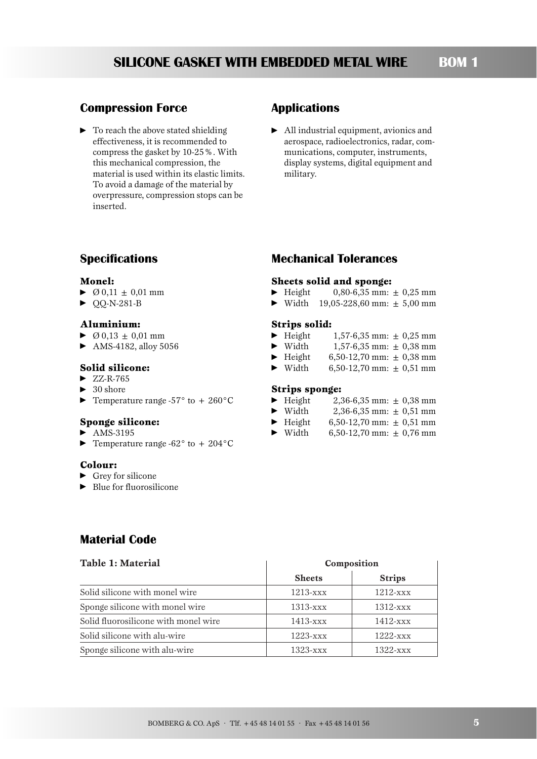#### **BOM 1 SILICONE GASKET WITH EMBEDDED METAL WIRE**

### **Compression Force**

• To reach the above stated shielding effectiveness, it is recommended to compress the gasket by 10-25%. With this mechanical compression, the material is used within its elastic limits. To avoid a damage of the material by overpressure, compression stops can be inserted.

### **Applications**

- All industrial equipment, avionics and aerospace, radioelectronics, radar, communications, computer, instruments, display systems, digital equipment and military.

# **Specifications**

#### **Monel:**

- $\triangleright$   $\emptyset$  0,11  $\pm$  0,01 mm
- ► QQ-N-281-B

### **Aluminium:**

- $\triangleright$   $\emptyset$  0,13  $\pm$  0,01 mm
- AMS-4182, alloy 5056

#### **Solid silicone:**

- $\blacktriangleright$  ZZ-R-765
- $\blacktriangleright$  30 shore
- $\blacktriangleright$  Temperature range -57° to + 260°C

#### **Sponge silicone:**

- $\blacktriangleright$  AMS-3195
- $\blacktriangleright$  Temperature range -62° to + 204°C

#### **Colour:**

- **•** Grey for silicone
- ► Blue for fluorosilicone

# **Mechanical Tolerances**

### **Sheets solid and sponge:**

- $\blacktriangleright$  Height  $0,80-6,35$  mm:  $\pm 0,25$  mm
- $\blacktriangleright$  Width 19,05-228,60 mm:  $\pm$  5,00 mm

#### **Strips solid:**

- $\blacktriangleright$  Height  $1,57-6,35$  mm:  $\pm 0,25$  mm
- $\blacktriangleright$  Width  $1,57-6,35$  mm:  $\pm 0,38$  mm
- $\blacktriangleright$  Height 6,50-12,70 mm:  $\pm$  0,38 mm
- $\blacktriangleright$  Width 6,50-12,70 mm:  $\pm$  0,51 mm

#### **Strips sponge:**

- $\blacktriangleright$  Height  $2,36-6,35$  mm:  $\pm 0,38$  mm
- $\blacktriangleright$  Width  $2,36-6,35$  mm:  $\pm 0.51$  mm
- $\blacktriangleright$  Height 6,50-12,70 mm:  $\pm$  0,51 mm
- $\blacktriangleright$  Width 6,50-12,70 mm:  $\pm$  0,76 mm

# **Material Code**

| Table 1: Material                    | Composition                  |               |  |  |
|--------------------------------------|------------------------------|---------------|--|--|
|                                      | <b>Sheets</b>                | <b>Strips</b> |  |  |
| Solid silicone with monel wire       | $1213 -$                     | $1212  xxxx$  |  |  |
| Sponge silicone with monel wire      | $1313 -$                     | $1312 -$ xxx  |  |  |
| Solid fluorosilicone with monel wire | $1413 -$ xxx                 | $1412  xxx$   |  |  |
| Solid silicone with alu-wire         | $1223  \overline{\text{xx}}$ | $1222  xxx$   |  |  |
| Sponge silicone with alu-wire        | $1323  xxx$                  | $1322 - xxx$  |  |  |